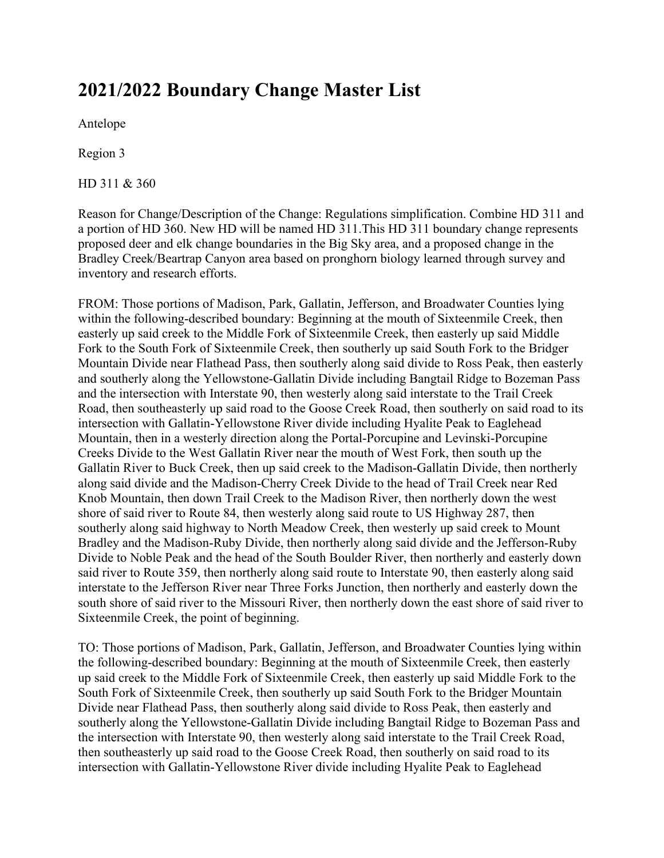# **2021/2022 Boundary Change Master List**

Antelope

Region 3

HD 311 & 360

Reason for Change/Description of the Change: Regulations simplification. Combine HD 311 and a portion of HD 360. New HD will be named HD 311.This HD 311 boundary change represents proposed deer and elk change boundaries in the Big Sky area, and a proposed change in the Bradley Creek/Beartrap Canyon area based on pronghorn biology learned through survey and inventory and research efforts.

FROM: Those portions of Madison, Park, Gallatin, Jefferson, and Broadwater Counties lying within the following-described boundary: Beginning at the mouth of Sixteenmile Creek, then easterly up said creek to the Middle Fork of Sixteenmile Creek, then easterly up said Middle Fork to the South Fork of Sixteenmile Creek, then southerly up said South Fork to the Bridger Mountain Divide near Flathead Pass, then southerly along said divide to Ross Peak, then easterly and southerly along the Yellowstone-Gallatin Divide including Bangtail Ridge to Bozeman Pass and the intersection with Interstate 90, then westerly along said interstate to the Trail Creek Road, then southeasterly up said road to the Goose Creek Road, then southerly on said road to its intersection with Gallatin-Yellowstone River divide including Hyalite Peak to Eaglehead Mountain, then in a westerly direction along the Portal-Porcupine and Levinski-Porcupine Creeks Divide to the West Gallatin River near the mouth of West Fork, then south up the Gallatin River to Buck Creek, then up said creek to the Madison-Gallatin Divide, then northerly along said divide and the Madison-Cherry Creek Divide to the head of Trail Creek near Red Knob Mountain, then down Trail Creek to the Madison River, then northerly down the west shore of said river to Route 84, then westerly along said route to US Highway 287, then southerly along said highway to North Meadow Creek, then westerly up said creek to Mount Bradley and the Madison-Ruby Divide, then northerly along said divide and the Jefferson-Ruby Divide to Noble Peak and the head of the South Boulder River, then northerly and easterly down said river to Route 359, then northerly along said route to Interstate 90, then easterly along said interstate to the Jefferson River near Three Forks Junction, then northerly and easterly down the south shore of said river to the Missouri River, then northerly down the east shore of said river to Sixteenmile Creek, the point of beginning.

TO: Those portions of Madison, Park, Gallatin, Jefferson, and Broadwater Counties lying within the following-described boundary: Beginning at the mouth of Sixteenmile Creek, then easterly up said creek to the Middle Fork of Sixteenmile Creek, then easterly up said Middle Fork to the South Fork of Sixteenmile Creek, then southerly up said South Fork to the Bridger Mountain Divide near Flathead Pass, then southerly along said divide to Ross Peak, then easterly and southerly along the Yellowstone-Gallatin Divide including Bangtail Ridge to Bozeman Pass and the intersection with Interstate 90, then westerly along said interstate to the Trail Creek Road, then southeasterly up said road to the Goose Creek Road, then southerly on said road to its intersection with Gallatin-Yellowstone River divide including Hyalite Peak to Eaglehead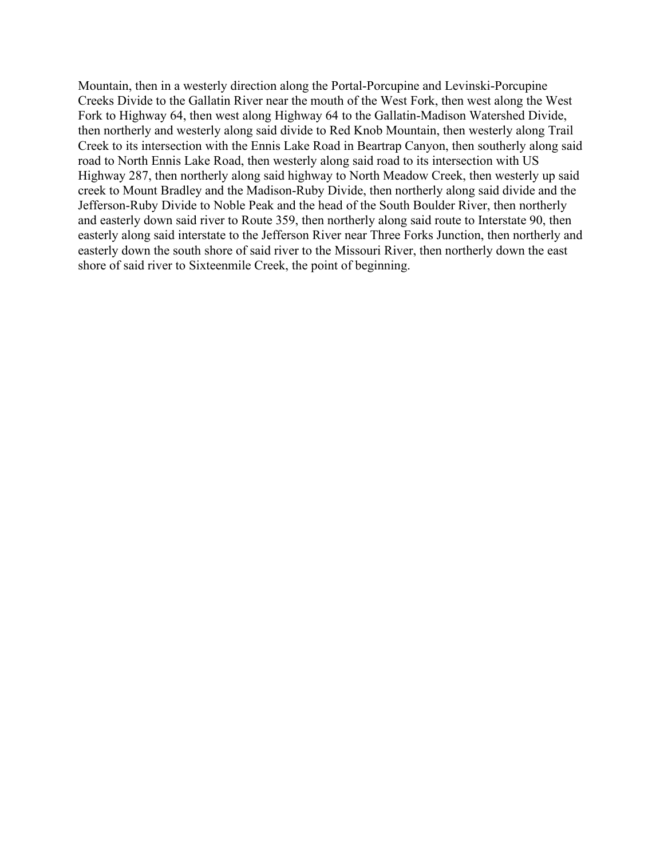Mountain, then in a westerly direction along the Portal-Porcupine and Levinski-Porcupine Creeks Divide to the Gallatin River near the mouth of the West Fork, then west along the West Fork to Highway 64, then west along Highway 64 to the Gallatin-Madison Watershed Divide, then northerly and westerly along said divide to Red Knob Mountain, then westerly along Trail Creek to its intersection with the Ennis Lake Road in Beartrap Canyon, then southerly along said road to North Ennis Lake Road, then westerly along said road to its intersection with US Highway 287, then northerly along said highway to North Meadow Creek, then westerly up said creek to Mount Bradley and the Madison-Ruby Divide, then northerly along said divide and the Jefferson-Ruby Divide to Noble Peak and the head of the South Boulder River, then northerly and easterly down said river to Route 359, then northerly along said route to Interstate 90, then easterly along said interstate to the Jefferson River near Three Forks Junction, then northerly and easterly down the south shore of said river to the Missouri River, then northerly down the east shore of said river to Sixteenmile Creek, the point of beginning.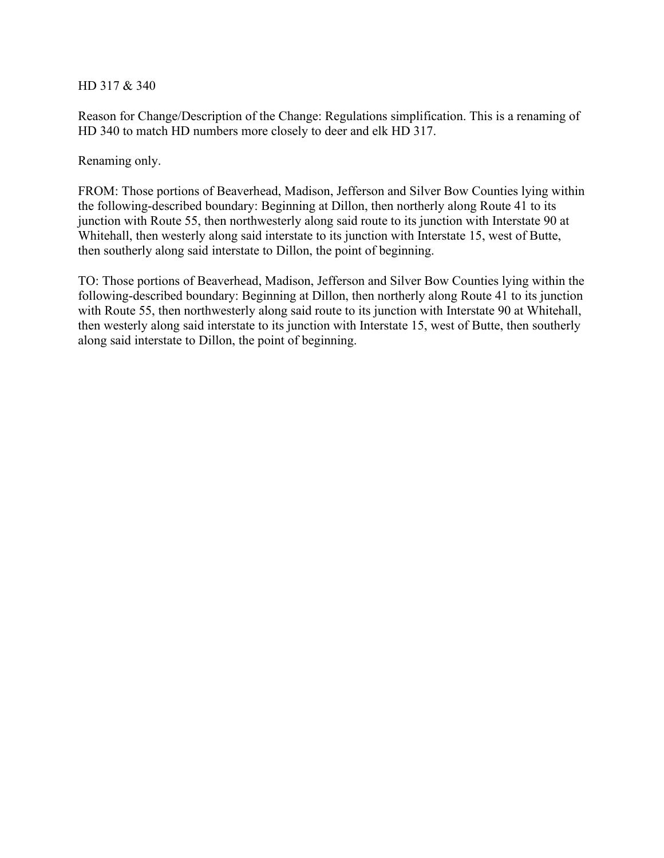HD 317 & 340

Reason for Change/Description of the Change: Regulations simplification. This is a renaming of HD 340 to match HD numbers more closely to deer and elk HD 317.

Renaming only.

FROM: Those portions of Beaverhead, Madison, Jefferson and Silver Bow Counties lying within the following-described boundary: Beginning at Dillon, then northerly along Route 41 to its junction with Route 55, then northwesterly along said route to its junction with Interstate 90 at Whitehall, then westerly along said interstate to its junction with Interstate 15, west of Butte, then southerly along said interstate to Dillon, the point of beginning.

TO: Those portions of Beaverhead, Madison, Jefferson and Silver Bow Counties lying within the following-described boundary: Beginning at Dillon, then northerly along Route 41 to its junction with Route 55, then northwesterly along said route to its junction with Interstate 90 at Whitehall, then westerly along said interstate to its junction with Interstate 15, west of Butte, then southerly along said interstate to Dillon, the point of beginning.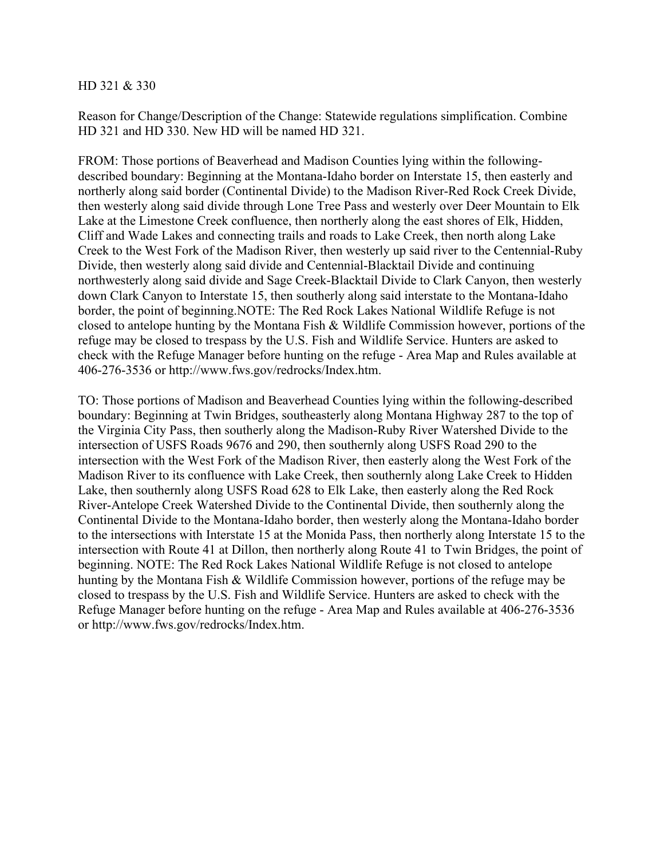#### HD 321 & 330

Reason for Change/Description of the Change: Statewide regulations simplification. Combine HD 321 and HD 330. New HD will be named HD 321.

FROM: Those portions of Beaverhead and Madison Counties lying within the followingdescribed boundary: Beginning at the Montana-Idaho border on Interstate 15, then easterly and northerly along said border (Continental Divide) to the Madison River-Red Rock Creek Divide, then westerly along said divide through Lone Tree Pass and westerly over Deer Mountain to Elk Lake at the Limestone Creek confluence, then northerly along the east shores of Elk, Hidden, Cliff and Wade Lakes and connecting trails and roads to Lake Creek, then north along Lake Creek to the West Fork of the Madison River, then westerly up said river to the Centennial-Ruby Divide, then westerly along said divide and Centennial-Blacktail Divide and continuing northwesterly along said divide and Sage Creek-Blacktail Divide to Clark Canyon, then westerly down Clark Canyon to Interstate 15, then southerly along said interstate to the Montana-Idaho border, the point of beginning.NOTE: The Red Rock Lakes National Wildlife Refuge is not closed to antelope hunting by the Montana Fish & Wildlife Commission however, portions of the refuge may be closed to trespass by the U.S. Fish and Wildlife Service. Hunters are asked to check with the Refuge Manager before hunting on the refuge - Area Map and Rules available at 406-276-3536 or http://www.fws.gov/redrocks/Index.htm.

TO: Those portions of Madison and Beaverhead Counties lying within the following-described boundary: Beginning at Twin Bridges, southeasterly along Montana Highway 287 to the top of the Virginia City Pass, then southerly along the Madison-Ruby River Watershed Divide to the intersection of USFS Roads 9676 and 290, then southernly along USFS Road 290 to the intersection with the West Fork of the Madison River, then easterly along the West Fork of the Madison River to its confluence with Lake Creek, then southernly along Lake Creek to Hidden Lake, then southernly along USFS Road 628 to Elk Lake, then easterly along the Red Rock River-Antelope Creek Watershed Divide to the Continental Divide, then southernly along the Continental Divide to the Montana-Idaho border, then westerly along the Montana-Idaho border to the intersections with Interstate 15 at the Monida Pass, then northerly along Interstate 15 to the intersection with Route 41 at Dillon, then northerly along Route 41 to Twin Bridges, the point of beginning. NOTE: The Red Rock Lakes National Wildlife Refuge is not closed to antelope hunting by the Montana Fish & Wildlife Commission however, portions of the refuge may be closed to trespass by the U.S. Fish and Wildlife Service. Hunters are asked to check with the Refuge Manager before hunting on the refuge - Area Map and Rules available at 406-276-3536 or http://www.fws.gov/redrocks/Index.htm.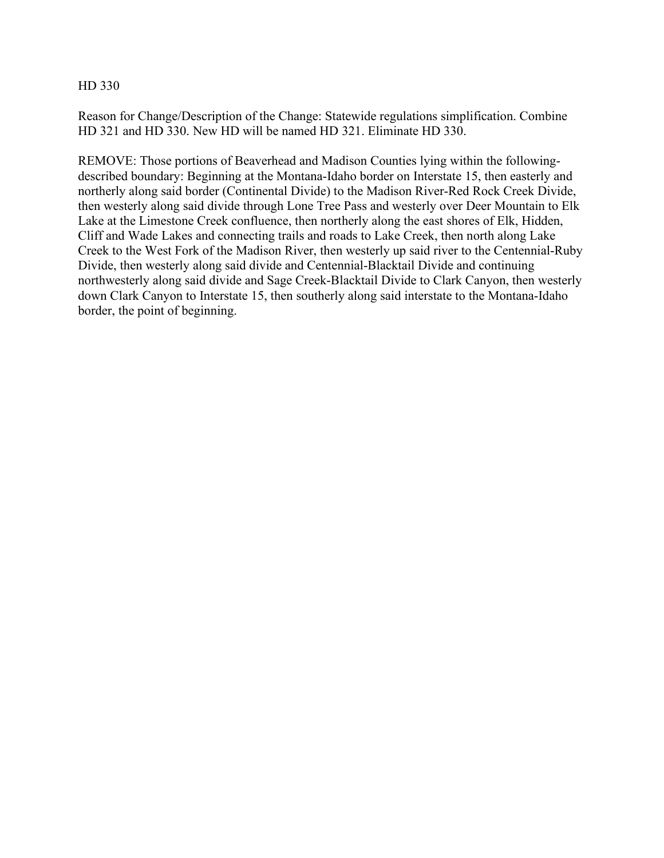Reason for Change/Description of the Change: Statewide regulations simplification. Combine HD 321 and HD 330. New HD will be named HD 321. Eliminate HD 330.

REMOVE: Those portions of Beaverhead and Madison Counties lying within the followingdescribed boundary: Beginning at the Montana-Idaho border on Interstate 15, then easterly and northerly along said border (Continental Divide) to the Madison River-Red Rock Creek Divide, then westerly along said divide through Lone Tree Pass and westerly over Deer Mountain to Elk Lake at the Limestone Creek confluence, then northerly along the east shores of Elk, Hidden, Cliff and Wade Lakes and connecting trails and roads to Lake Creek, then north along Lake Creek to the West Fork of the Madison River, then westerly up said river to the Centennial-Ruby Divide, then westerly along said divide and Centennial-Blacktail Divide and continuing northwesterly along said divide and Sage Creek-Blacktail Divide to Clark Canyon, then westerly down Clark Canyon to Interstate 15, then southerly along said interstate to the Montana-Idaho border, the point of beginning.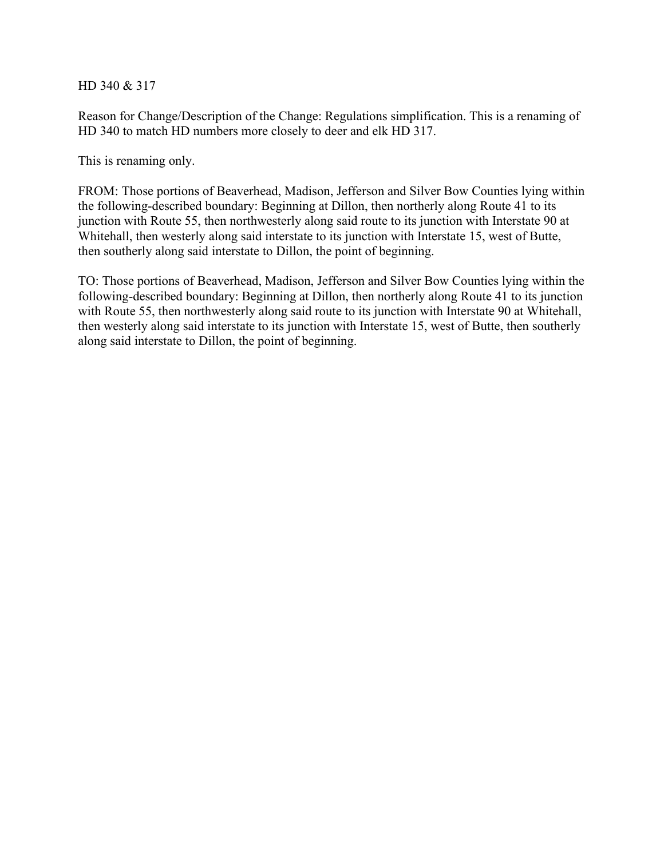HD 340 & 317

Reason for Change/Description of the Change: Regulations simplification. This is a renaming of HD 340 to match HD numbers more closely to deer and elk HD 317.

This is renaming only.

FROM: Those portions of Beaverhead, Madison, Jefferson and Silver Bow Counties lying within the following-described boundary: Beginning at Dillon, then northerly along Route 41 to its junction with Route 55, then northwesterly along said route to its junction with Interstate 90 at Whitehall, then westerly along said interstate to its junction with Interstate 15, west of Butte, then southerly along said interstate to Dillon, the point of beginning.

TO: Those portions of Beaverhead, Madison, Jefferson and Silver Bow Counties lying within the following-described boundary: Beginning at Dillon, then northerly along Route 41 to its junction with Route 55, then northwesterly along said route to its junction with Interstate 90 at Whitehall, then westerly along said interstate to its junction with Interstate 15, west of Butte, then southerly along said interstate to Dillon, the point of beginning.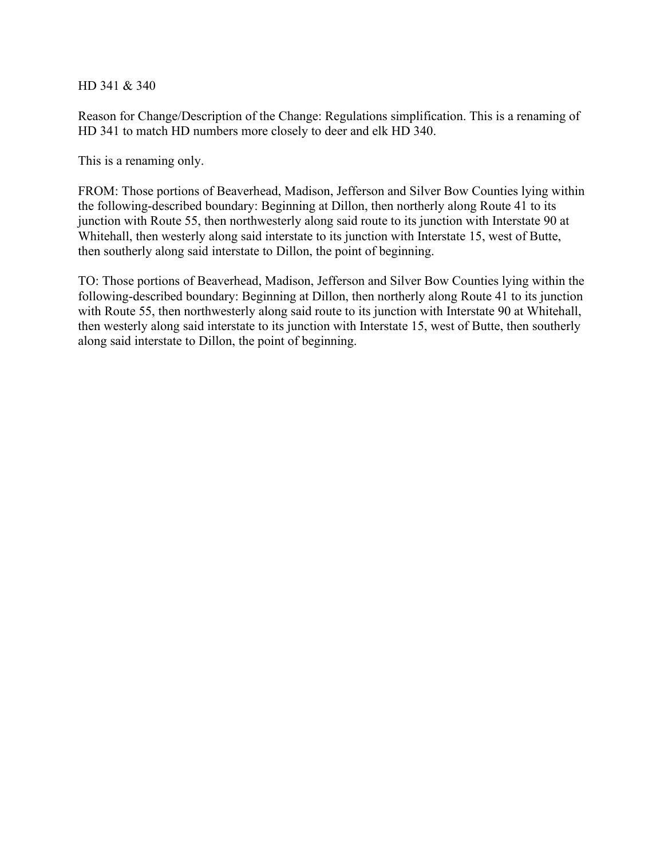HD 341 & 340

Reason for Change/Description of the Change: Regulations simplification. This is a renaming of HD 341 to match HD numbers more closely to deer and elk HD 340.

This is a renaming only.

FROM: Those portions of Beaverhead, Madison, Jefferson and Silver Bow Counties lying within the following-described boundary: Beginning at Dillon, then northerly along Route 41 to its junction with Route 55, then northwesterly along said route to its junction with Interstate 90 at Whitehall, then westerly along said interstate to its junction with Interstate 15, west of Butte, then southerly along said interstate to Dillon, the point of beginning.

TO: Those portions of Beaverhead, Madison, Jefferson and Silver Bow Counties lying within the following-described boundary: Beginning at Dillon, then northerly along Route 41 to its junction with Route 55, then northwesterly along said route to its junction with Interstate 90 at Whitehall, then westerly along said interstate to its junction with Interstate 15, west of Butte, then southerly along said interstate to Dillon, the point of beginning.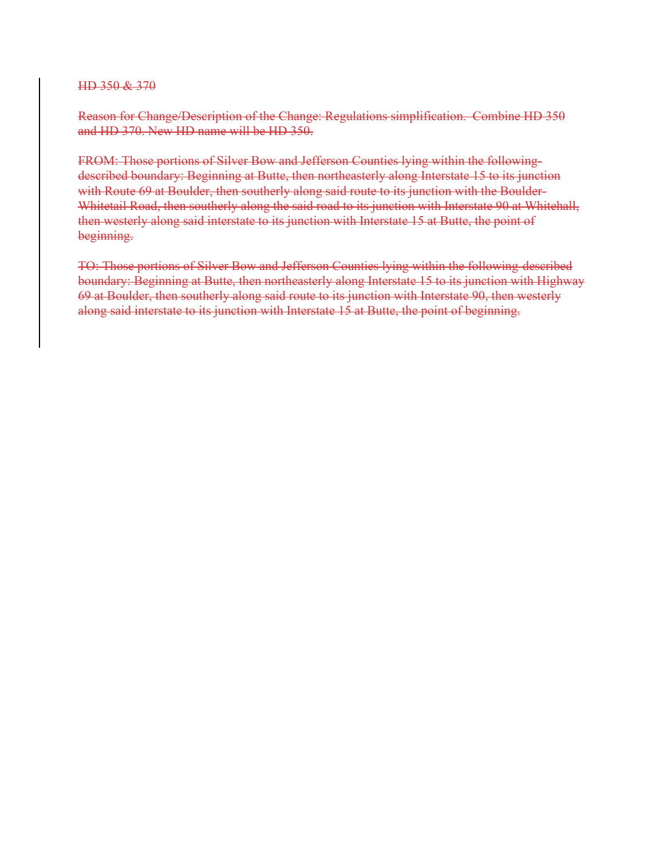HD 350 & 370

Reason for Change/Description of the Change: Regulations simplification. Combine HD 350 and HD 370. New HD name will be HD 350.

FROM: Those portions of Silver Bow and Jefferson Counties lying within the followingdescribed boundary: Beginning at Butte, then northeasterly along Interstate 15 to its junction with Route 69 at Boulder, then southerly along said route to its junction with the Boulder-Whitetail Road, then southerly along the said road to its junction with Interstate 90 at Whitehall, then westerly along said interstate to its junction with Interstate 15 at Butte, the point of beginning.

TO: Those portions of Silver Bow and Jefferson Counties lying within the following-described boundary: Beginning at Butte, then northeasterly along Interstate 15 to its junction with Highway 69 at Boulder, then southerly along said route to its junction with Interstate 90, then westerly along said interstate to its junction with Interstate 15 at Butte, the point of beginning.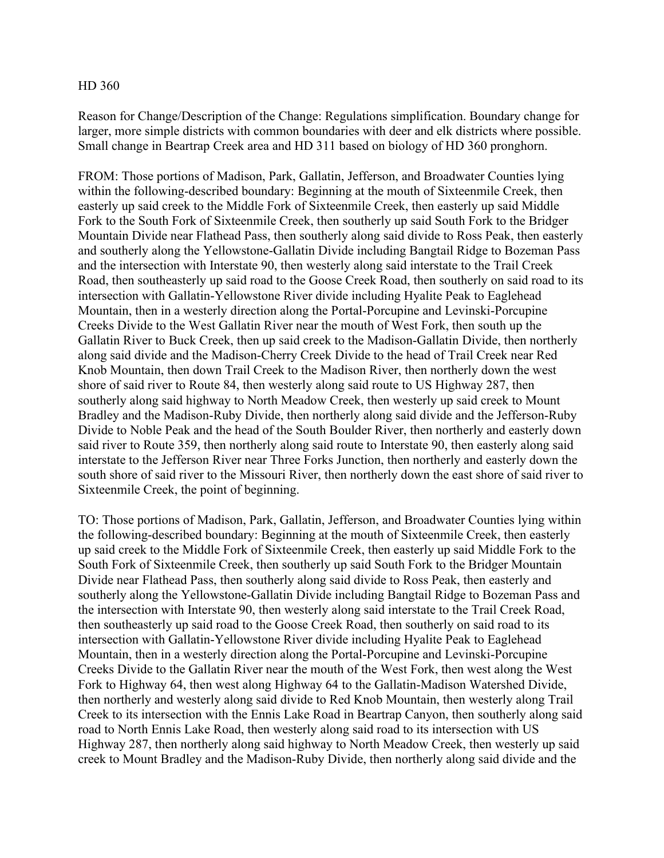Reason for Change/Description of the Change: Regulations simplification. Boundary change for larger, more simple districts with common boundaries with deer and elk districts where possible. Small change in Beartrap Creek area and HD 311 based on biology of HD 360 pronghorn.

FROM: Those portions of Madison, Park, Gallatin, Jefferson, and Broadwater Counties lying within the following-described boundary: Beginning at the mouth of Sixteenmile Creek, then easterly up said creek to the Middle Fork of Sixteenmile Creek, then easterly up said Middle Fork to the South Fork of Sixteenmile Creek, then southerly up said South Fork to the Bridger Mountain Divide near Flathead Pass, then southerly along said divide to Ross Peak, then easterly and southerly along the Yellowstone-Gallatin Divide including Bangtail Ridge to Bozeman Pass and the intersection with Interstate 90, then westerly along said interstate to the Trail Creek Road, then southeasterly up said road to the Goose Creek Road, then southerly on said road to its intersection with Gallatin-Yellowstone River divide including Hyalite Peak to Eaglehead Mountain, then in a westerly direction along the Portal-Porcupine and Levinski-Porcupine Creeks Divide to the West Gallatin River near the mouth of West Fork, then south up the Gallatin River to Buck Creek, then up said creek to the Madison-Gallatin Divide, then northerly along said divide and the Madison-Cherry Creek Divide to the head of Trail Creek near Red Knob Mountain, then down Trail Creek to the Madison River, then northerly down the west shore of said river to Route 84, then westerly along said route to US Highway 287, then southerly along said highway to North Meadow Creek, then westerly up said creek to Mount Bradley and the Madison-Ruby Divide, then northerly along said divide and the Jefferson-Ruby Divide to Noble Peak and the head of the South Boulder River, then northerly and easterly down said river to Route 359, then northerly along said route to Interstate 90, then easterly along said interstate to the Jefferson River near Three Forks Junction, then northerly and easterly down the south shore of said river to the Missouri River, then northerly down the east shore of said river to Sixteenmile Creek, the point of beginning.

TO: Those portions of Madison, Park, Gallatin, Jefferson, and Broadwater Counties lying within the following-described boundary: Beginning at the mouth of Sixteenmile Creek, then easterly up said creek to the Middle Fork of Sixteenmile Creek, then easterly up said Middle Fork to the South Fork of Sixteenmile Creek, then southerly up said South Fork to the Bridger Mountain Divide near Flathead Pass, then southerly along said divide to Ross Peak, then easterly and southerly along the Yellowstone-Gallatin Divide including Bangtail Ridge to Bozeman Pass and the intersection with Interstate 90, then westerly along said interstate to the Trail Creek Road, then southeasterly up said road to the Goose Creek Road, then southerly on said road to its intersection with Gallatin-Yellowstone River divide including Hyalite Peak to Eaglehead Mountain, then in a westerly direction along the Portal-Porcupine and Levinski-Porcupine Creeks Divide to the Gallatin River near the mouth of the West Fork, then west along the West Fork to Highway 64, then west along Highway 64 to the Gallatin-Madison Watershed Divide, then northerly and westerly along said divide to Red Knob Mountain, then westerly along Trail Creek to its intersection with the Ennis Lake Road in Beartrap Canyon, then southerly along said road to North Ennis Lake Road, then westerly along said road to its intersection with US Highway 287, then northerly along said highway to North Meadow Creek, then westerly up said creek to Mount Bradley and the Madison-Ruby Divide, then northerly along said divide and the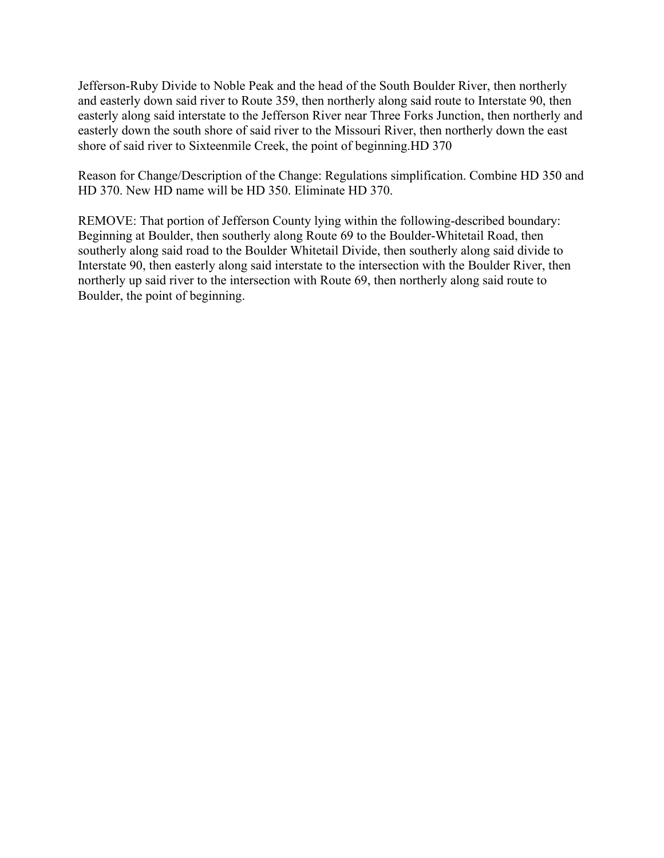Jefferson-Ruby Divide to Noble Peak and the head of the South Boulder River, then northerly and easterly down said river to Route 359, then northerly along said route to Interstate 90, then easterly along said interstate to the Jefferson River near Three Forks Junction, then northerly and easterly down the south shore of said river to the Missouri River, then northerly down the east shore of said river to Sixteenmile Creek, the point of beginning.HD 370

Reason for Change/Description of the Change: Regulations simplification. Combine HD 350 and HD 370. New HD name will be HD 350. Eliminate HD 370.

REMOVE: That portion of Jefferson County lying within the following-described boundary: Beginning at Boulder, then southerly along Route 69 to the Boulder-Whitetail Road, then southerly along said road to the Boulder Whitetail Divide, then southerly along said divide to Interstate 90, then easterly along said interstate to the intersection with the Boulder River, then northerly up said river to the intersection with Route 69, then northerly along said route to Boulder, the point of beginning.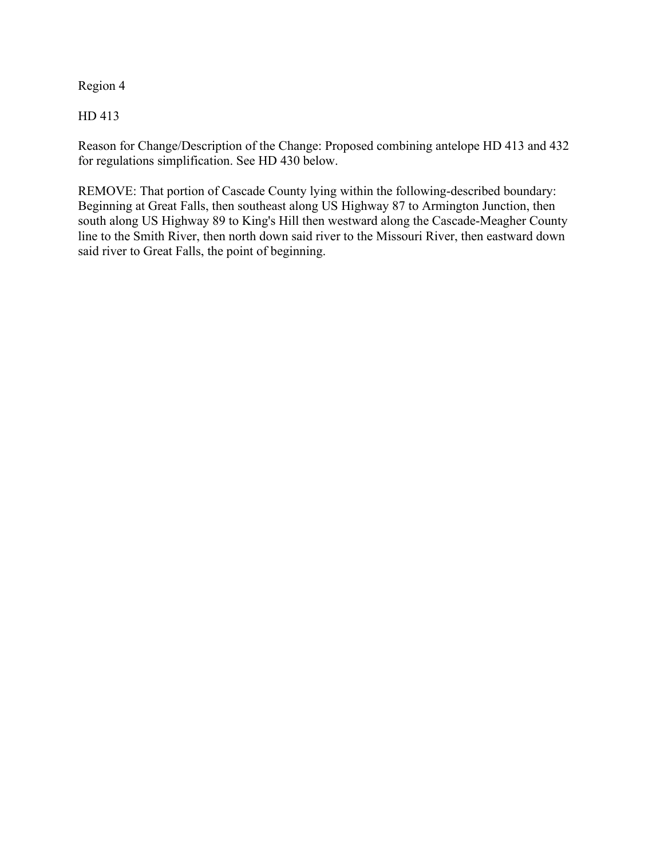Region 4

HD 413

Reason for Change/Description of the Change: Proposed combining antelope HD 413 and 432 for regulations simplification. See HD 430 below.

REMOVE: That portion of Cascade County lying within the following-described boundary: Beginning at Great Falls, then southeast along US Highway 87 to Armington Junction, then south along US Highway 89 to King's Hill then westward along the Cascade-Meagher County line to the Smith River, then north down said river to the Missouri River, then eastward down said river to Great Falls, the point of beginning.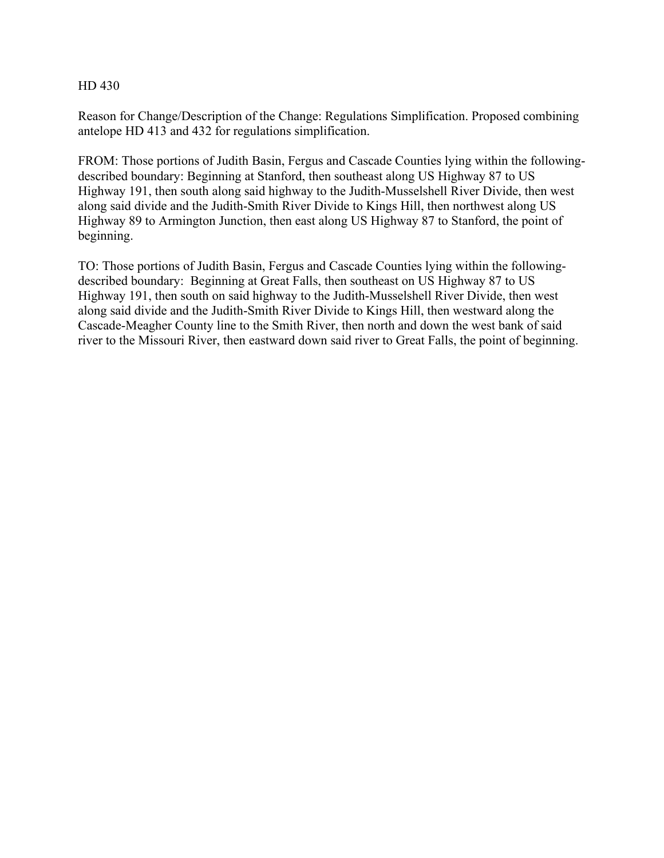Reason for Change/Description of the Change: Regulations Simplification. Proposed combining antelope HD 413 and 432 for regulations simplification.

FROM: Those portions of Judith Basin, Fergus and Cascade Counties lying within the followingdescribed boundary: Beginning at Stanford, then southeast along US Highway 87 to US Highway 191, then south along said highway to the Judith-Musselshell River Divide, then west along said divide and the Judith-Smith River Divide to Kings Hill, then northwest along US Highway 89 to Armington Junction, then east along US Highway 87 to Stanford, the point of beginning.

TO: Those portions of Judith Basin, Fergus and Cascade Counties lying within the followingdescribed boundary: Beginning at Great Falls, then southeast on US Highway 87 to US Highway 191, then south on said highway to the Judith-Musselshell River Divide, then west along said divide and the Judith-Smith River Divide to Kings Hill, then westward along the Cascade-Meagher County line to the Smith River, then north and down the west bank of said river to the Missouri River, then eastward down said river to Great Falls, the point of beginning.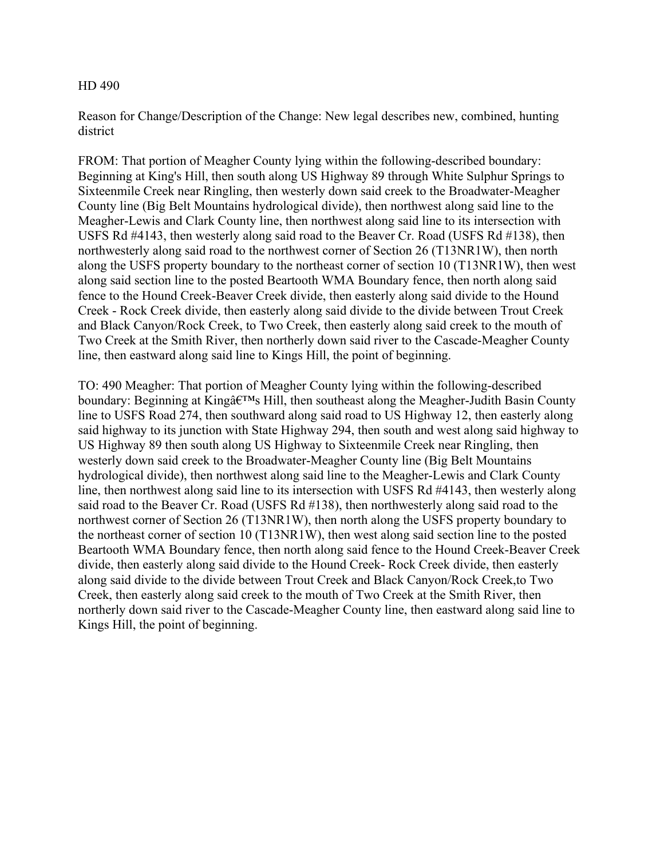Reason for Change/Description of the Change: New legal describes new, combined, hunting district

FROM: That portion of Meagher County lying within the following-described boundary: Beginning at King's Hill, then south along US Highway 89 through White Sulphur Springs to Sixteenmile Creek near Ringling, then westerly down said creek to the Broadwater-Meagher County line (Big Belt Mountains hydrological divide), then northwest along said line to the Meagher-Lewis and Clark County line, then northwest along said line to its intersection with USFS Rd #4143, then westerly along said road to the Beaver Cr. Road (USFS Rd #138), then northwesterly along said road to the northwest corner of Section 26 (T13NR1W), then north along the USFS property boundary to the northeast corner of section 10 (T13NR1W), then west along said section line to the posted Beartooth WMA Boundary fence, then north along said fence to the Hound Creek-Beaver Creek divide, then easterly along said divide to the Hound Creek - Rock Creek divide, then easterly along said divide to the divide between Trout Creek and Black Canyon/Rock Creek, to Two Creek, then easterly along said creek to the mouth of Two Creek at the Smith River, then northerly down said river to the Cascade-Meagher County line, then eastward along said line to Kings Hill, the point of beginning.

TO: 490 Meagher: That portion of Meagher County lying within the following-described boundary: Beginning at King $\hat{a} \in T^{M}$ s Hill, then southeast along the Meagher-Judith Basin County line to USFS Road 274, then southward along said road to US Highway 12, then easterly along said highway to its junction with State Highway 294, then south and west along said highway to US Highway 89 then south along US Highway to Sixteenmile Creek near Ringling, then westerly down said creek to the Broadwater-Meagher County line (Big Belt Mountains hydrological divide), then northwest along said line to the Meagher-Lewis and Clark County line, then northwest along said line to its intersection with USFS Rd #4143, then westerly along said road to the Beaver Cr. Road (USFS Rd #138), then northwesterly along said road to the northwest corner of Section 26 (T13NR1W), then north along the USFS property boundary to the northeast corner of section 10 (T13NR1W), then west along said section line to the posted Beartooth WMA Boundary fence, then north along said fence to the Hound Creek-Beaver Creek divide, then easterly along said divide to the Hound Creek- Rock Creek divide, then easterly along said divide to the divide between Trout Creek and Black Canyon/Rock Creek,to Two Creek, then easterly along said creek to the mouth of Two Creek at the Smith River, then northerly down said river to the Cascade-Meagher County line, then eastward along said line to Kings Hill, the point of beginning.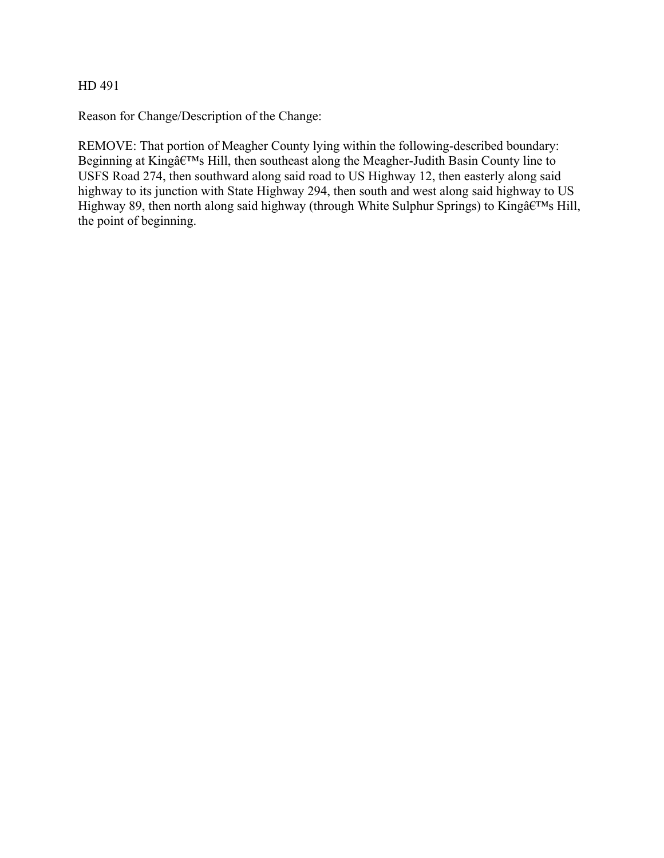Reason for Change/Description of the Change:

REMOVE: That portion of Meagher County lying within the following-described boundary: Beginning at King $\hat{a} \in M$ s Hill, then southeast along the Meagher-Judith Basin County line to USFS Road 274, then southward along said road to US Highway 12, then easterly along said highway to its junction with State Highway 294, then south and west along said highway to US Highway 89, then north along said highway (through White Sulphur Springs) to King $\hat{a} \in M$ s Hill, the point of beginning.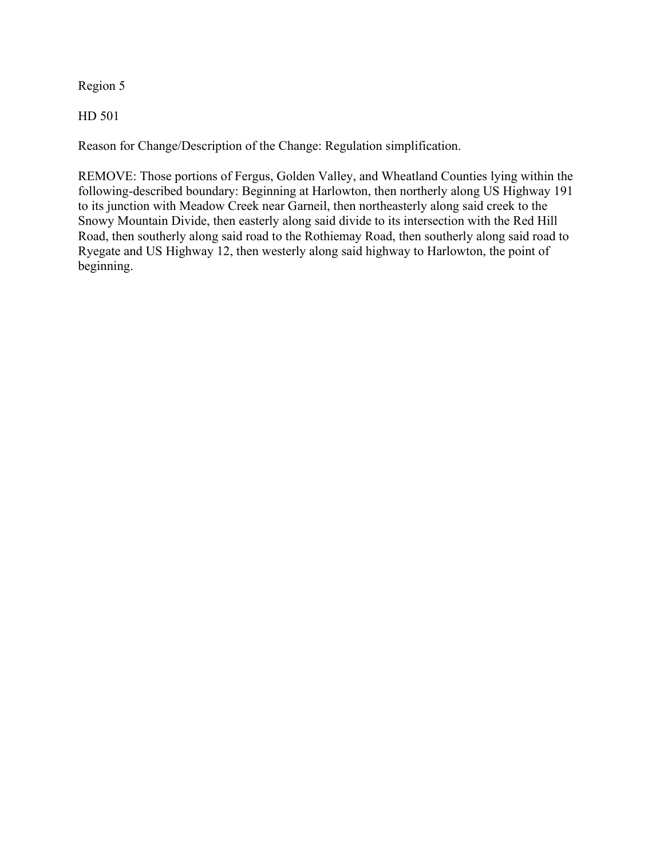Region 5

HD 501

Reason for Change/Description of the Change: Regulation simplification.

REMOVE: Those portions of Fergus, Golden Valley, and Wheatland Counties lying within the following-described boundary: Beginning at Harlowton, then northerly along US Highway 191 to its junction with Meadow Creek near Garneil, then northeasterly along said creek to the Snowy Mountain Divide, then easterly along said divide to its intersection with the Red Hill Road, then southerly along said road to the Rothiemay Road, then southerly along said road to Ryegate and US Highway 12, then westerly along said highway to Harlowton, the point of beginning.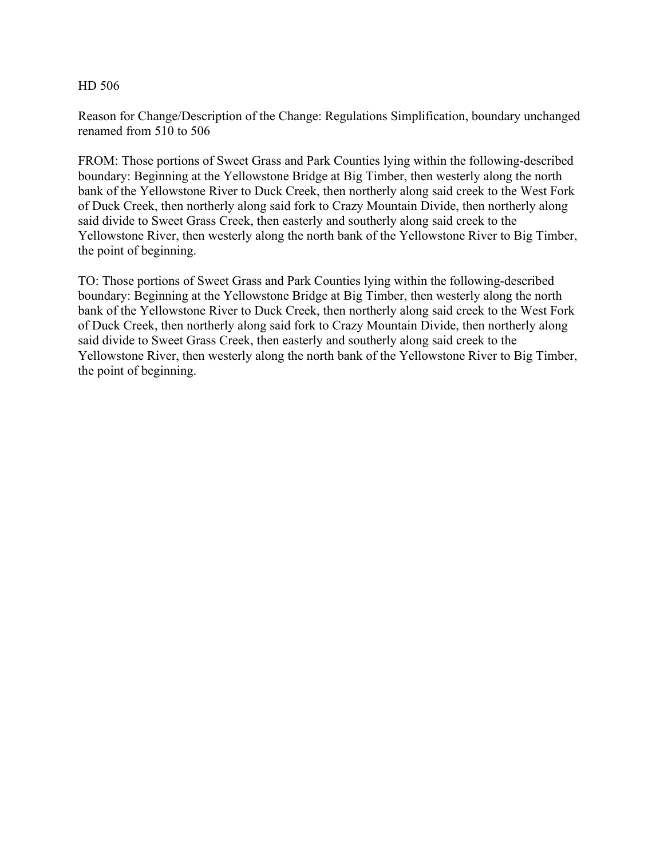Reason for Change/Description of the Change: Regulations Simplification, boundary unchanged renamed from 510 to 506

FROM: Those portions of Sweet Grass and Park Counties lying within the following-described boundary: Beginning at the Yellowstone Bridge at Big Timber, then westerly along the north bank of the Yellowstone River to Duck Creek, then northerly along said creek to the West Fork of Duck Creek, then northerly along said fork to Crazy Mountain Divide, then northerly along said divide to Sweet Grass Creek, then easterly and southerly along said creek to the Yellowstone River, then westerly along the north bank of the Yellowstone River to Big Timber, the point of beginning.

TO: Those portions of Sweet Grass and Park Counties lying within the following-described boundary: Beginning at the Yellowstone Bridge at Big Timber, then westerly along the north bank of the Yellowstone River to Duck Creek, then northerly along said creek to the West Fork of Duck Creek, then northerly along said fork to Crazy Mountain Divide, then northerly along said divide to Sweet Grass Creek, then easterly and southerly along said creek to the Yellowstone River, then westerly along the north bank of the Yellowstone River to Big Timber, the point of beginning.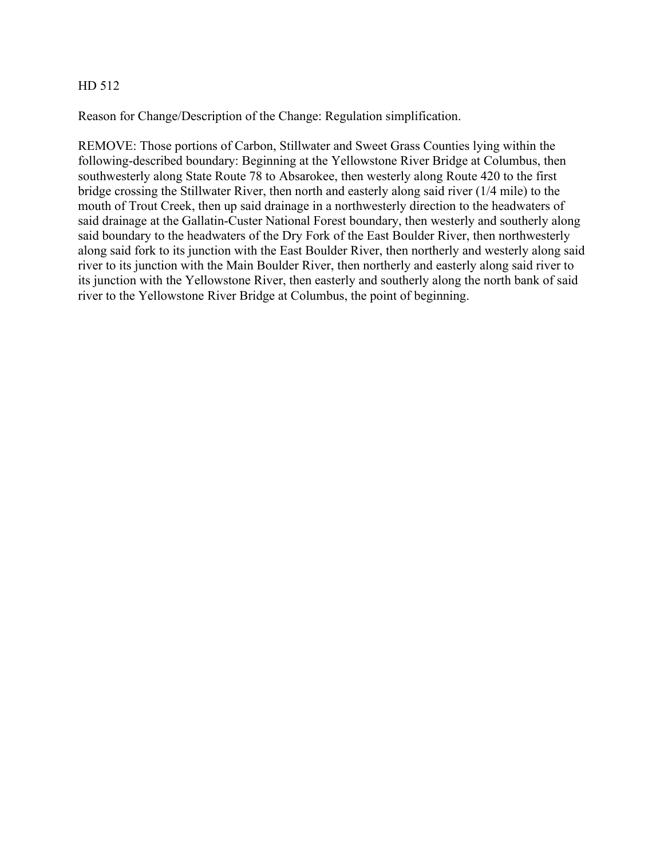Reason for Change/Description of the Change: Regulation simplification.

REMOVE: Those portions of Carbon, Stillwater and Sweet Grass Counties lying within the following-described boundary: Beginning at the Yellowstone River Bridge at Columbus, then southwesterly along State Route 78 to Absarokee, then westerly along Route 420 to the first bridge crossing the Stillwater River, then north and easterly along said river (1/4 mile) to the mouth of Trout Creek, then up said drainage in a northwesterly direction to the headwaters of said drainage at the Gallatin-Custer National Forest boundary, then westerly and southerly along said boundary to the headwaters of the Dry Fork of the East Boulder River, then northwesterly along said fork to its junction with the East Boulder River, then northerly and westerly along said river to its junction with the Main Boulder River, then northerly and easterly along said river to its junction with the Yellowstone River, then easterly and southerly along the north bank of said river to the Yellowstone River Bridge at Columbus, the point of beginning.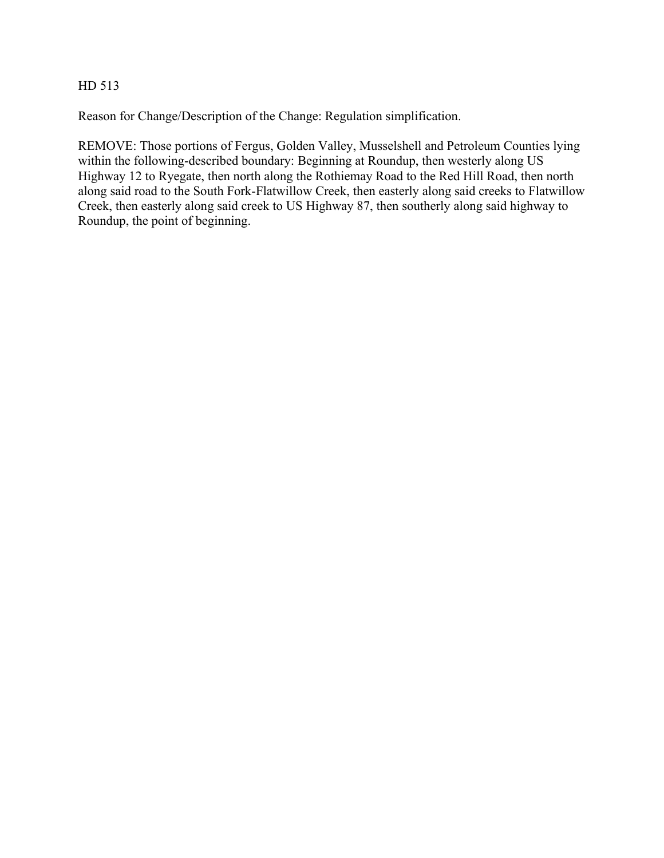Reason for Change/Description of the Change: Regulation simplification.

REMOVE: Those portions of Fergus, Golden Valley, Musselshell and Petroleum Counties lying within the following-described boundary: Beginning at Roundup, then westerly along US Highway 12 to Ryegate, then north along the Rothiemay Road to the Red Hill Road, then north along said road to the South Fork-Flatwillow Creek, then easterly along said creeks to Flatwillow Creek, then easterly along said creek to US Highway 87, then southerly along said highway to Roundup, the point of beginning.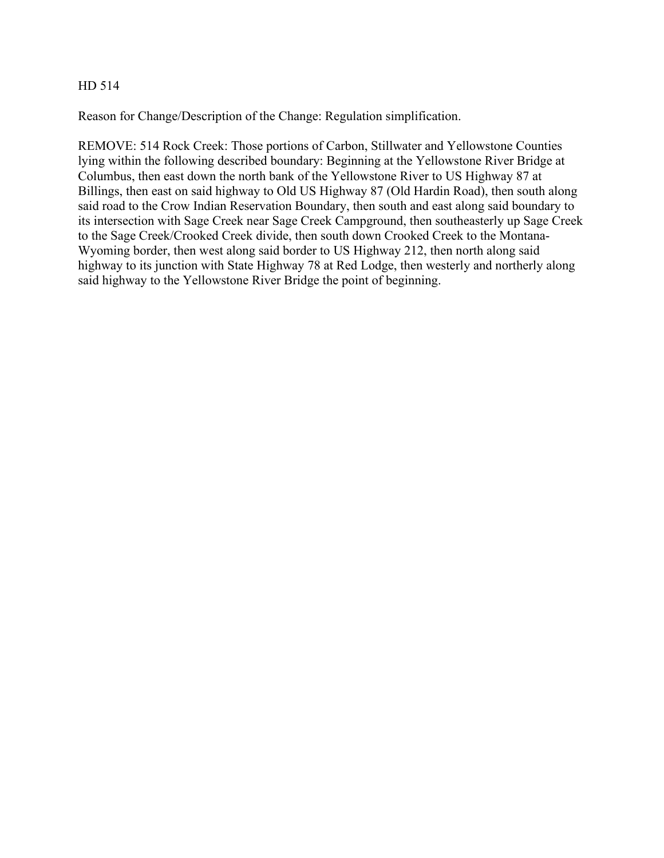Reason for Change/Description of the Change: Regulation simplification.

REMOVE: 514 Rock Creek: Those portions of Carbon, Stillwater and Yellowstone Counties lying within the following described boundary: Beginning at the Yellowstone River Bridge at Columbus, then east down the north bank of the Yellowstone River to US Highway 87 at Billings, then east on said highway to Old US Highway 87 (Old Hardin Road), then south along said road to the Crow Indian Reservation Boundary, then south and east along said boundary to its intersection with Sage Creek near Sage Creek Campground, then southeasterly up Sage Creek to the Sage Creek/Crooked Creek divide, then south down Crooked Creek to the Montana-Wyoming border, then west along said border to US Highway 212, then north along said highway to its junction with State Highway 78 at Red Lodge, then westerly and northerly along said highway to the Yellowstone River Bridge the point of beginning.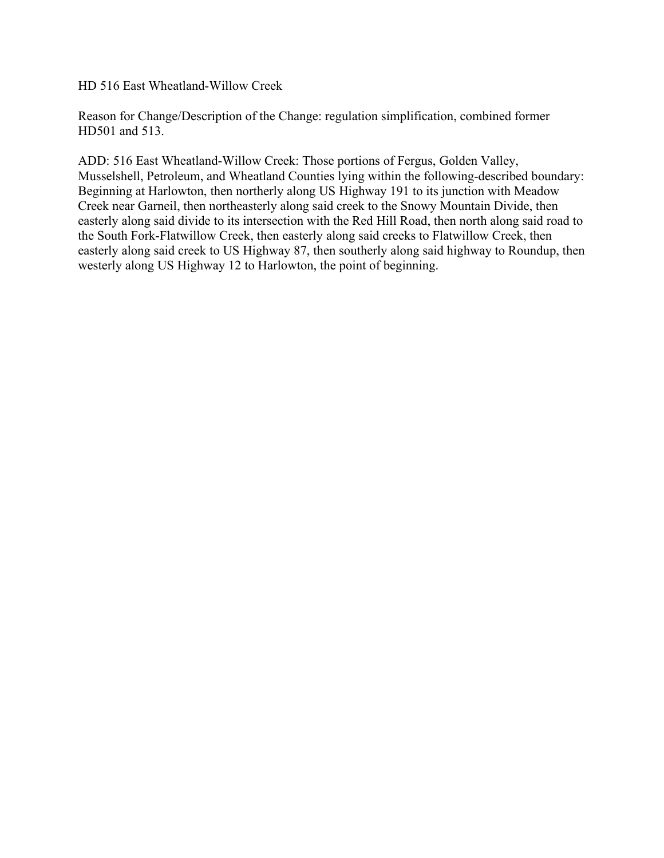HD 516 East Wheatland-Willow Creek

Reason for Change/Description of the Change: regulation simplification, combined former HD501 and 513.

ADD: 516 East Wheatland-Willow Creek: Those portions of Fergus, Golden Valley, Musselshell, Petroleum, and Wheatland Counties lying within the following-described boundary: Beginning at Harlowton, then northerly along US Highway 191 to its junction with Meadow Creek near Garneil, then northeasterly along said creek to the Snowy Mountain Divide, then easterly along said divide to its intersection with the Red Hill Road, then north along said road to the South Fork-Flatwillow Creek, then easterly along said creeks to Flatwillow Creek, then easterly along said creek to US Highway 87, then southerly along said highway to Roundup, then westerly along US Highway 12 to Harlowton, the point of beginning.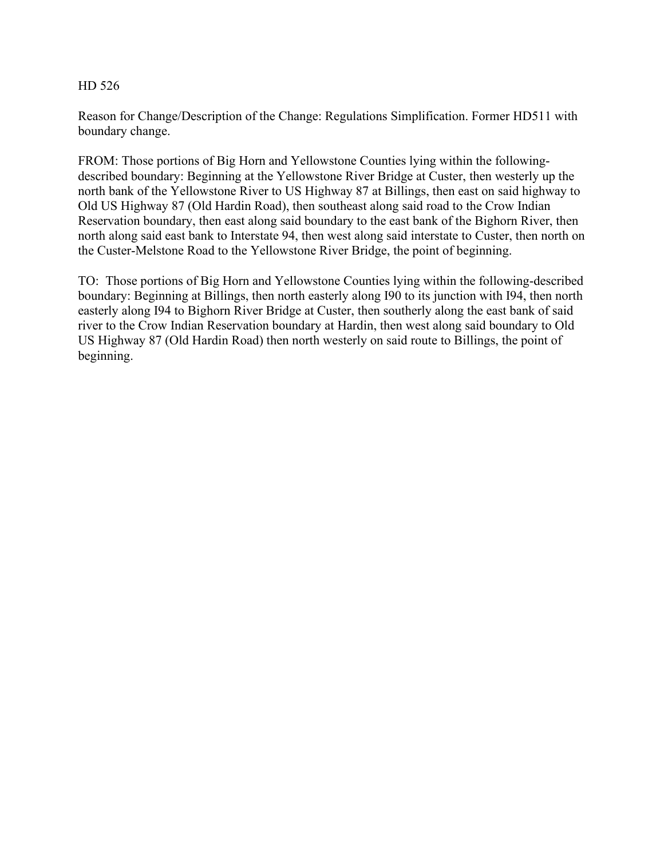Reason for Change/Description of the Change: Regulations Simplification. Former HD511 with boundary change.

FROM: Those portions of Big Horn and Yellowstone Counties lying within the followingdescribed boundary: Beginning at the Yellowstone River Bridge at Custer, then westerly up the north bank of the Yellowstone River to US Highway 87 at Billings, then east on said highway to Old US Highway 87 (Old Hardin Road), then southeast along said road to the Crow Indian Reservation boundary, then east along said boundary to the east bank of the Bighorn River, then north along said east bank to Interstate 94, then west along said interstate to Custer, then north on the Custer-Melstone Road to the Yellowstone River Bridge, the point of beginning.

TO: Those portions of Big Horn and Yellowstone Counties lying within the following-described boundary: Beginning at Billings, then north easterly along I90 to its junction with I94, then north easterly along I94 to Bighorn River Bridge at Custer, then southerly along the east bank of said river to the Crow Indian Reservation boundary at Hardin, then west along said boundary to Old US Highway 87 (Old Hardin Road) then north westerly on said route to Billings, the point of beginning.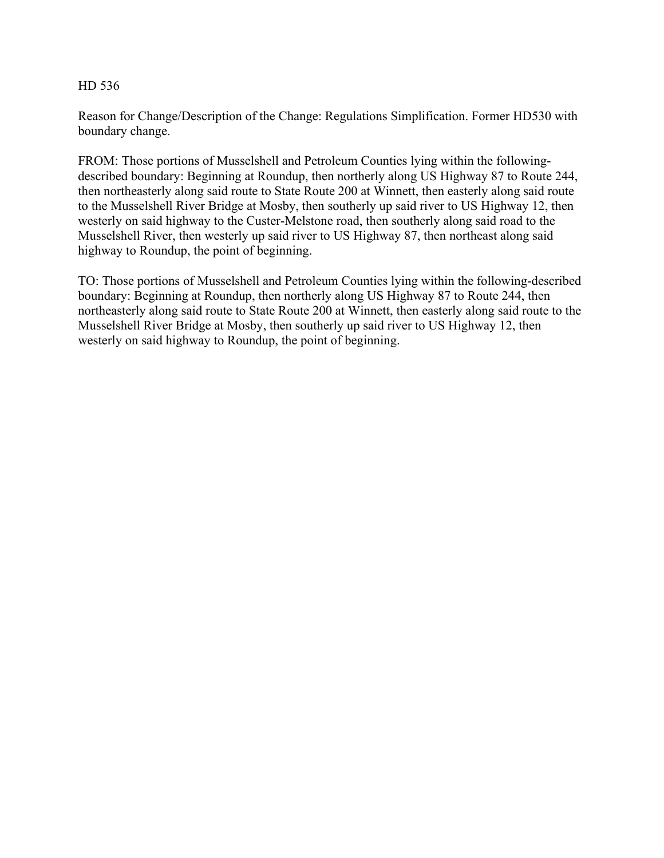Reason for Change/Description of the Change: Regulations Simplification. Former HD530 with boundary change.

FROM: Those portions of Musselshell and Petroleum Counties lying within the followingdescribed boundary: Beginning at Roundup, then northerly along US Highway 87 to Route 244, then northeasterly along said route to State Route 200 at Winnett, then easterly along said route to the Musselshell River Bridge at Mosby, then southerly up said river to US Highway 12, then westerly on said highway to the Custer-Melstone road, then southerly along said road to the Musselshell River, then westerly up said river to US Highway 87, then northeast along said highway to Roundup, the point of beginning.

TO: Those portions of Musselshell and Petroleum Counties lying within the following-described boundary: Beginning at Roundup, then northerly along US Highway 87 to Route 244, then northeasterly along said route to State Route 200 at Winnett, then easterly along said route to the Musselshell River Bridge at Mosby, then southerly up said river to US Highway 12, then westerly on said highway to Roundup, the point of beginning.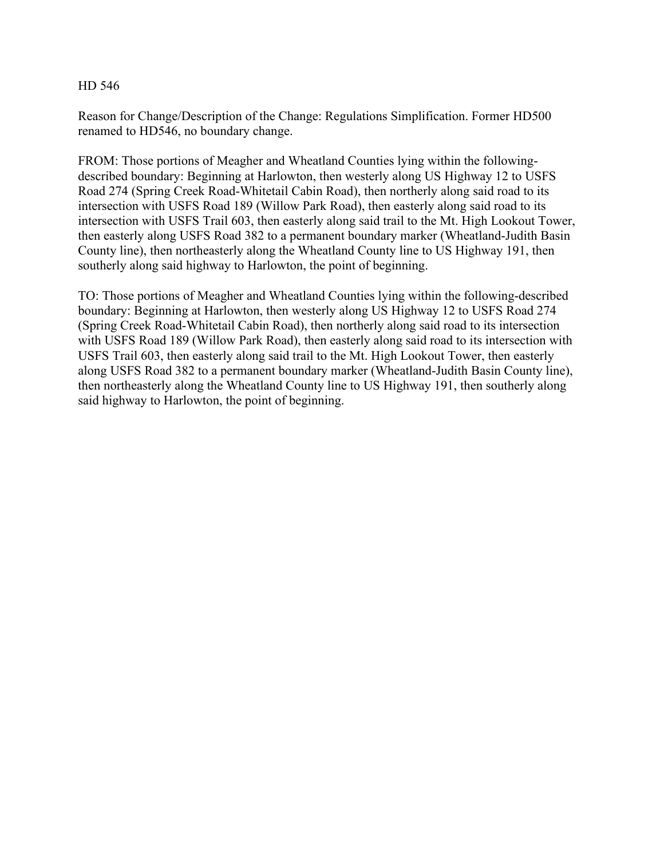Reason for Change/Description of the Change: Regulations Simplification. Former HD500 renamed to HD546, no boundary change.

FROM: Those portions of Meagher and Wheatland Counties lying within the followingdescribed boundary: Beginning at Harlowton, then westerly along US Highway 12 to USFS Road 274 (Spring Creek Road-Whitetail Cabin Road), then northerly along said road to its intersection with USFS Road 189 (Willow Park Road), then easterly along said road to its intersection with USFS Trail 603, then easterly along said trail to the Mt. High Lookout Tower, then easterly along USFS Road 382 to a permanent boundary marker (Wheatland-Judith Basin County line), then northeasterly along the Wheatland County line to US Highway 191, then southerly along said highway to Harlowton, the point of beginning.

TO: Those portions of Meagher and Wheatland Counties lying within the following-described boundary: Beginning at Harlowton, then westerly along US Highway 12 to USFS Road 274 (Spring Creek Road-Whitetail Cabin Road), then northerly along said road to its intersection with USFS Road 189 (Willow Park Road), then easterly along said road to its intersection with USFS Trail 603, then easterly along said trail to the Mt. High Lookout Tower, then easterly along USFS Road 382 to a permanent boundary marker (Wheatland-Judith Basin County line), then northeasterly along the Wheatland County line to US Highway 191, then southerly along said highway to Harlowton, the point of beginning.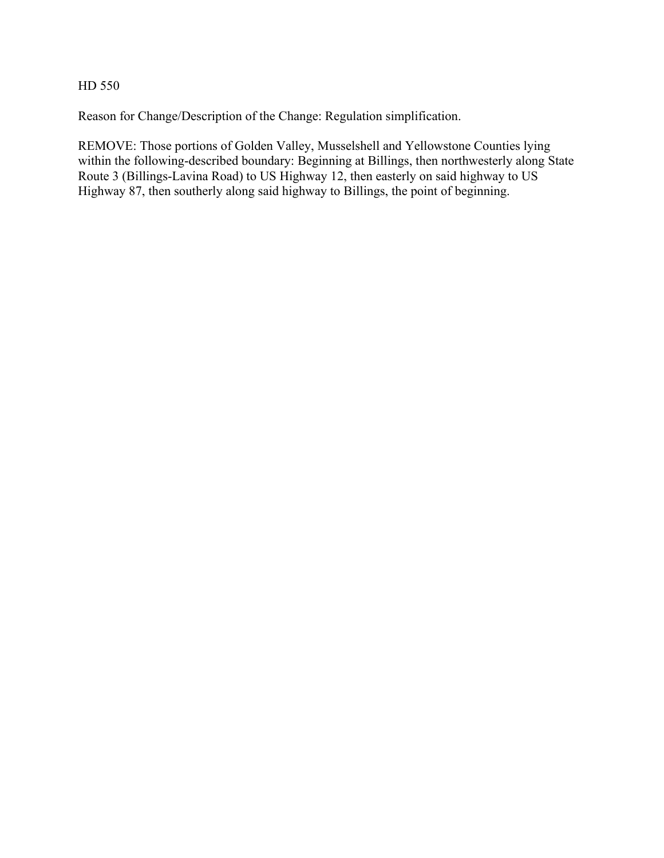Reason for Change/Description of the Change: Regulation simplification.

REMOVE: Those portions of Golden Valley, Musselshell and Yellowstone Counties lying within the following-described boundary: Beginning at Billings, then northwesterly along State Route 3 (Billings-Lavina Road) to US Highway 12, then easterly on said highway to US Highway 87, then southerly along said highway to Billings, the point of beginning.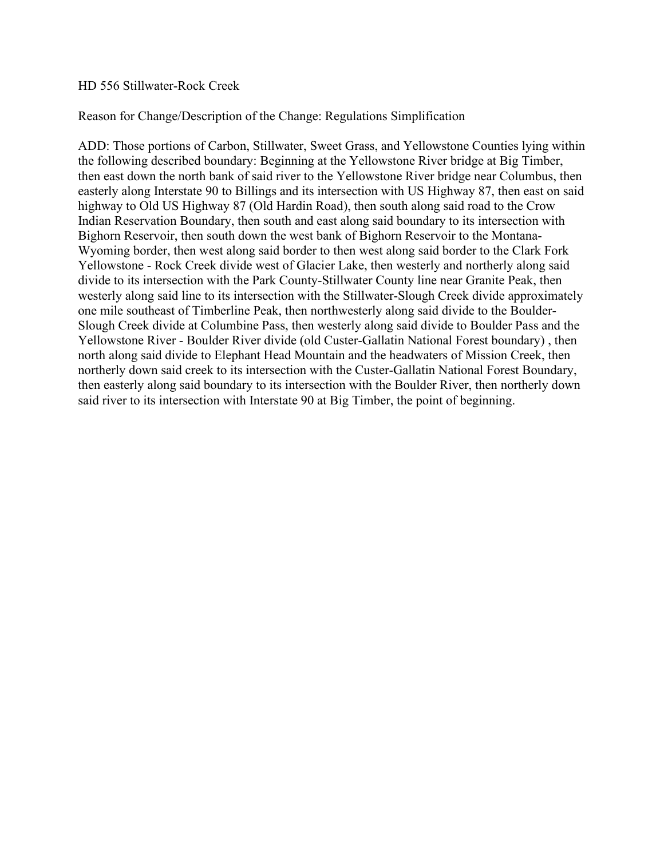#### HD 556 Stillwater-Rock Creek

# Reason for Change/Description of the Change: Regulations Simplification

ADD: Those portions of Carbon, Stillwater, Sweet Grass, and Yellowstone Counties lying within the following described boundary: Beginning at the Yellowstone River bridge at Big Timber, then east down the north bank of said river to the Yellowstone River bridge near Columbus, then easterly along Interstate 90 to Billings and its intersection with US Highway 87, then east on said highway to Old US Highway 87 (Old Hardin Road), then south along said road to the Crow Indian Reservation Boundary, then south and east along said boundary to its intersection with Bighorn Reservoir, then south down the west bank of Bighorn Reservoir to the Montana-Wyoming border, then west along said border to then west along said border to the Clark Fork Yellowstone - Rock Creek divide west of Glacier Lake, then westerly and northerly along said divide to its intersection with the Park County-Stillwater County line near Granite Peak, then westerly along said line to its intersection with the Stillwater-Slough Creek divide approximately one mile southeast of Timberline Peak, then northwesterly along said divide to the Boulder-Slough Creek divide at Columbine Pass, then westerly along said divide to Boulder Pass and the Yellowstone River - Boulder River divide (old Custer-Gallatin National Forest boundary) , then north along said divide to Elephant Head Mountain and the headwaters of Mission Creek, then northerly down said creek to its intersection with the Custer-Gallatin National Forest Boundary, then easterly along said boundary to its intersection with the Boulder River, then northerly down said river to its intersection with Interstate 90 at Big Timber, the point of beginning.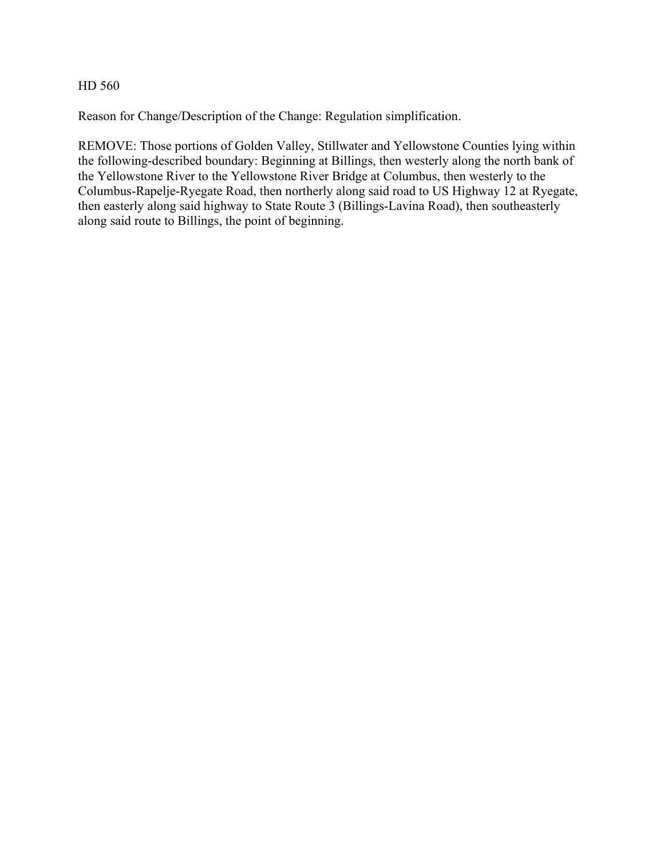Reason for Change/Description of the Change: Regulation simplification.

REMOVE: Those portions of Golden Valley, Stillwater and Yellowstone Counties lying within the following-described boundary: Beginning at Billings, then westerly along the north bank of the Yellowstone River to the Yellowstone River Bridge at Columbus, then westerly to the Columbus-Rapelje-Ryegate Road, then northerly along said road to US Highway 12 at Ryegate, then easterly along said highway to State Route 3 (Billings-Lavina Road), then southeasterly along said route to Billings, the point of beginning.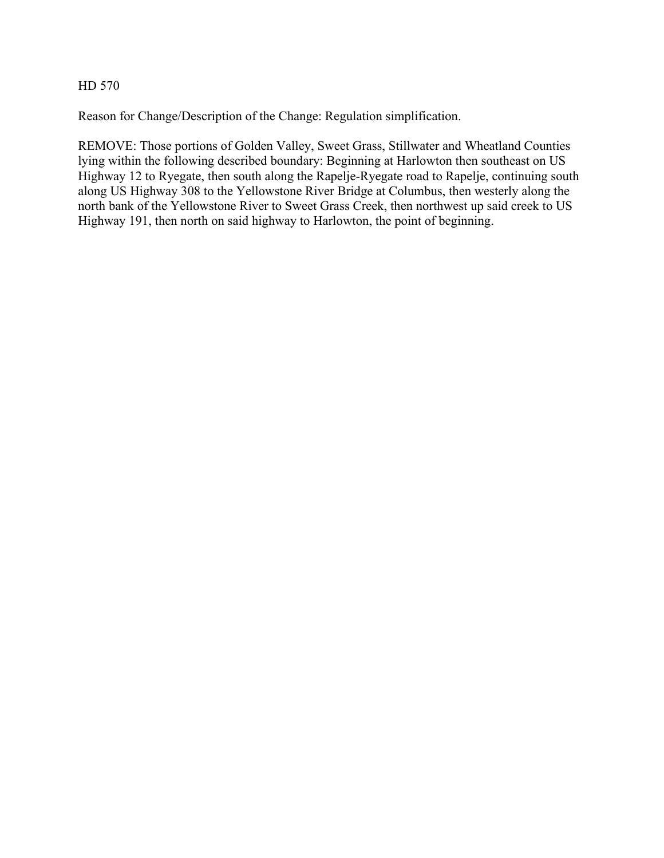Reason for Change/Description of the Change: Regulation simplification.

REMOVE: Those portions of Golden Valley, Sweet Grass, Stillwater and Wheatland Counties lying within the following described boundary: Beginning at Harlowton then southeast on US Highway 12 to Ryegate, then south along the Rapelje-Ryegate road to Rapelje, continuing south along US Highway 308 to the Yellowstone River Bridge at Columbus, then westerly along the north bank of the Yellowstone River to Sweet Grass Creek, then northwest up said creek to US Highway 191, then north on said highway to Harlowton, the point of beginning.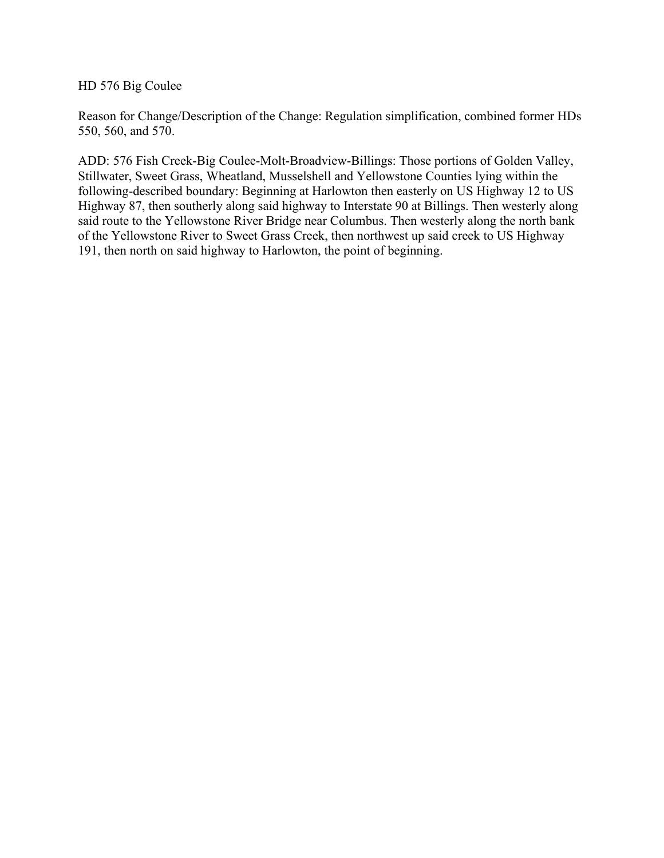HD 576 Big Coulee

Reason for Change/Description of the Change: Regulation simplification, combined former HDs 550, 560, and 570.

ADD: 576 Fish Creek-Big Coulee-Molt-Broadview-Billings: Those portions of Golden Valley, Stillwater, Sweet Grass, Wheatland, Musselshell and Yellowstone Counties lying within the following-described boundary: Beginning at Harlowton then easterly on US Highway 12 to US Highway 87, then southerly along said highway to Interstate 90 at Billings. Then westerly along said route to the Yellowstone River Bridge near Columbus. Then westerly along the north bank of the Yellowstone River to Sweet Grass Creek, then northwest up said creek to US Highway 191, then north on said highway to Harlowton, the point of beginning.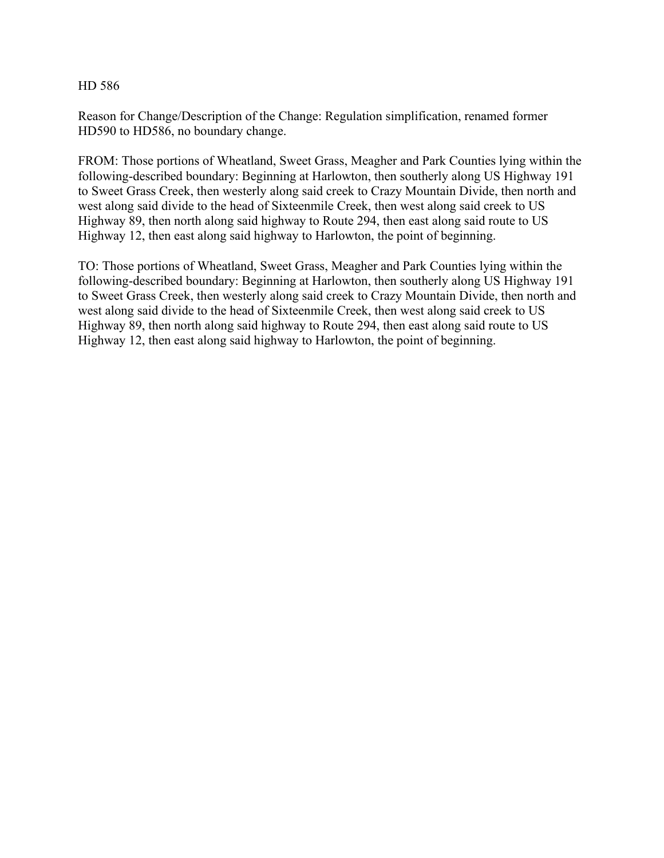Reason for Change/Description of the Change: Regulation simplification, renamed former HD590 to HD586, no boundary change.

FROM: Those portions of Wheatland, Sweet Grass, Meagher and Park Counties lying within the following-described boundary: Beginning at Harlowton, then southerly along US Highway 191 to Sweet Grass Creek, then westerly along said creek to Crazy Mountain Divide, then north and west along said divide to the head of Sixteenmile Creek, then west along said creek to US Highway 89, then north along said highway to Route 294, then east along said route to US Highway 12, then east along said highway to Harlowton, the point of beginning.

TO: Those portions of Wheatland, Sweet Grass, Meagher and Park Counties lying within the following-described boundary: Beginning at Harlowton, then southerly along US Highway 191 to Sweet Grass Creek, then westerly along said creek to Crazy Mountain Divide, then north and west along said divide to the head of Sixteenmile Creek, then west along said creek to US Highway 89, then north along said highway to Route 294, then east along said route to US Highway 12, then east along said highway to Harlowton, the point of beginning.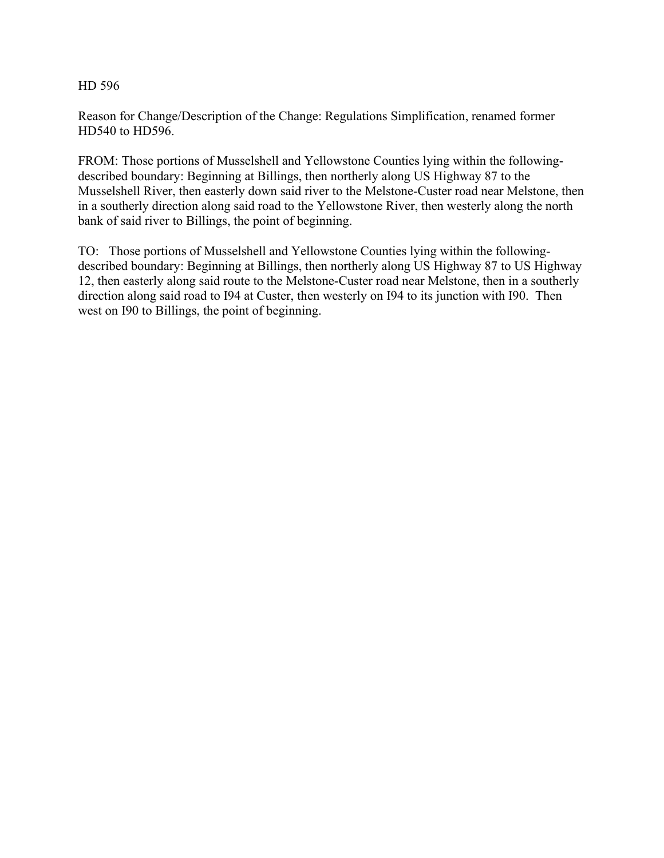Reason for Change/Description of the Change: Regulations Simplification, renamed former HD540 to HD596.

FROM: Those portions of Musselshell and Yellowstone Counties lying within the followingdescribed boundary: Beginning at Billings, then northerly along US Highway 87 to the Musselshell River, then easterly down said river to the Melstone-Custer road near Melstone, then in a southerly direction along said road to the Yellowstone River, then westerly along the north bank of said river to Billings, the point of beginning.

TO: Those portions of Musselshell and Yellowstone Counties lying within the followingdescribed boundary: Beginning at Billings, then northerly along US Highway 87 to US Highway 12, then easterly along said route to the Melstone-Custer road near Melstone, then in a southerly direction along said road to I94 at Custer, then westerly on I94 to its junction with I90. Then west on I90 to Billings, the point of beginning.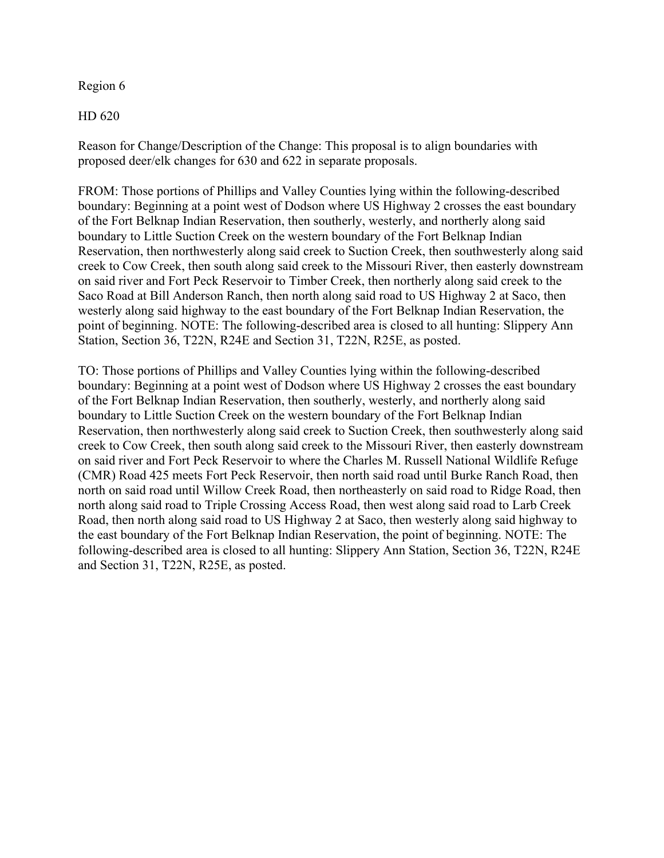# Region 6

HD 620

Reason for Change/Description of the Change: This proposal is to align boundaries with proposed deer/elk changes for 630 and 622 in separate proposals.

FROM: Those portions of Phillips and Valley Counties lying within the following-described boundary: Beginning at a point west of Dodson where US Highway 2 crosses the east boundary of the Fort Belknap Indian Reservation, then southerly, westerly, and northerly along said boundary to Little Suction Creek on the western boundary of the Fort Belknap Indian Reservation, then northwesterly along said creek to Suction Creek, then southwesterly along said creek to Cow Creek, then south along said creek to the Missouri River, then easterly downstream on said river and Fort Peck Reservoir to Timber Creek, then northerly along said creek to the Saco Road at Bill Anderson Ranch, then north along said road to US Highway 2 at Saco, then westerly along said highway to the east boundary of the Fort Belknap Indian Reservation, the point of beginning. NOTE: The following-described area is closed to all hunting: Slippery Ann Station, Section 36, T22N, R24E and Section 31, T22N, R25E, as posted.

TO: Those portions of Phillips and Valley Counties lying within the following-described boundary: Beginning at a point west of Dodson where US Highway 2 crosses the east boundary of the Fort Belknap Indian Reservation, then southerly, westerly, and northerly along said boundary to Little Suction Creek on the western boundary of the Fort Belknap Indian Reservation, then northwesterly along said creek to Suction Creek, then southwesterly along said creek to Cow Creek, then south along said creek to the Missouri River, then easterly downstream on said river and Fort Peck Reservoir to where the Charles M. Russell National Wildlife Refuge (CMR) Road 425 meets Fort Peck Reservoir, then north said road until Burke Ranch Road, then north on said road until Willow Creek Road, then northeasterly on said road to Ridge Road, then north along said road to Triple Crossing Access Road, then west along said road to Larb Creek Road, then north along said road to US Highway 2 at Saco, then westerly along said highway to the east boundary of the Fort Belknap Indian Reservation, the point of beginning. NOTE: The following-described area is closed to all hunting: Slippery Ann Station, Section 36, T22N, R24E and Section 31, T22N, R25E, as posted.